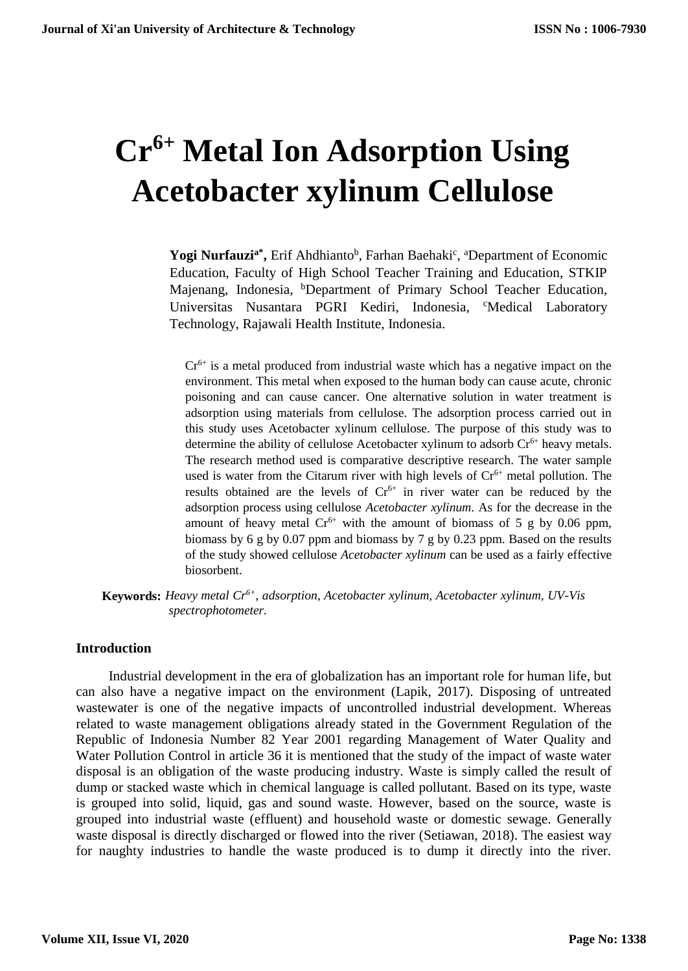# **Cr6+ Metal Ion Adsorption Using Acetobacter xylinum Cellulose**

Yogi Nurfauzi<sup>a\*</sup>, Erif Ahdhianto<sup>b</sup>, Farhan Baehaki<sup>c</sup>, <sup>a</sup>Department of Economic Education, Faculty of High School Teacher Training and Education, STKIP Majenang, Indonesia, <sup>b</sup>Department of Primary School Teacher Education, Universitas Nusantara PGRI Kediri, Indonesia, <sup>c</sup>Medical Laboratory Technology, Rajawali Health Institute, Indonesia.

 $Cr<sup>6+</sup>$  is a metal produced from industrial waste which has a negative impact on the environment. This metal when exposed to the human body can cause acute, chronic poisoning and can cause cancer. One alternative solution in water treatment is adsorption using materials from cellulose. The adsorption process carried out in this study uses Acetobacter xylinum cellulose. The purpose of this study was to determine the ability of cellulose Acetobacter xylinum to adsorb  $Cr<sup>6+</sup>$  heavy metals. The research method used is comparative descriptive research. The water sample used is water from the Citarum river with high levels of  $Cr<sup>6+</sup>$  metal pollution. The results obtained are the levels of  $Cr<sup>6+</sup>$  in river water can be reduced by the adsorption process using cellulose *Acetobacter xylinum*. As for the decrease in the amount of heavy metal  $Cr^{6+}$  with the amount of biomass of 5 g by 0.06 ppm, biomass by 6 g by 0.07 ppm and biomass by 7 g by 0.23 ppm. Based on the results of the study showed cellulose *Acetobacter xylinum* can be used as a fairly effective biosorbent.

**Keywords:** *Heavy metal Cr6+, adsorption, Acetobacter xylinum, Acetobacter xylinum, UV-Vis spectrophotometer.*

#### **Introduction**

Industrial development in the era of globalization has an important role for human life, but can also have a negative impact on the environment (Lapik, 2017). Disposing of untreated wastewater is one of the negative impacts of uncontrolled industrial development. Whereas related to waste management obligations already stated in the Government Regulation of the Republic of Indonesia Number 82 Year 2001 regarding Management of Water Quality and Water Pollution Control in article 36 it is mentioned that the study of the impact of waste water disposal is an obligation of the waste producing industry. Waste is simply called the result of dump or stacked waste which in chemical language is called pollutant. Based on its type, waste is grouped into solid, liquid, gas and sound waste. However, based on the source, waste is grouped into industrial waste (effluent) and household waste or domestic sewage. Generally waste disposal is directly discharged or flowed into the river (Setiawan, 2018). The easiest way for naughty industries to handle the waste produced is to dump it directly into the river.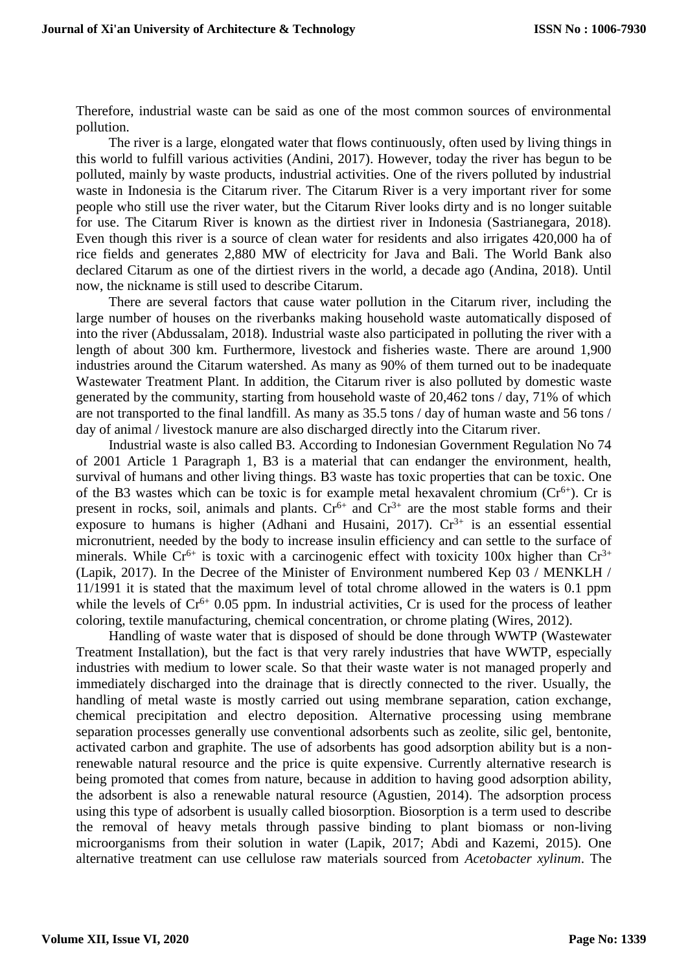Therefore, industrial waste can be said as one of the most common sources of environmental pollution.

The river is a large, elongated water that flows continuously, often used by living things in this world to fulfill various activities (Andini, 2017). However, today the river has begun to be polluted, mainly by waste products, industrial activities. One of the rivers polluted by industrial waste in Indonesia is the Citarum river. The Citarum River is a very important river for some people who still use the river water, but the Citarum River looks dirty and is no longer suitable for use. The Citarum River is known as the dirtiest river in Indonesia (Sastrianegara, 2018). Even though this river is a source of clean water for residents and also irrigates 420,000 ha of rice fields and generates 2,880 MW of electricity for Java and Bali. The World Bank also declared Citarum as one of the dirtiest rivers in the world, a decade ago (Andina, 2018). Until now, the nickname is still used to describe Citarum.

There are several factors that cause water pollution in the Citarum river, including the large number of houses on the riverbanks making household waste automatically disposed of into the river (Abdussalam, 2018). Industrial waste also participated in polluting the river with a length of about 300 km. Furthermore, livestock and fisheries waste. There are around 1,900 industries around the Citarum watershed. As many as 90% of them turned out to be inadequate Wastewater Treatment Plant. In addition, the Citarum river is also polluted by domestic waste generated by the community, starting from household waste of 20,462 tons / day, 71% of which are not transported to the final landfill. As many as 35.5 tons / day of human waste and 56 tons / day of animal / livestock manure are also discharged directly into the Citarum river.

Industrial waste is also called B3. According to Indonesian Government Regulation No 74 of 2001 Article 1 Paragraph 1, B3 is a material that can endanger the environment, health, survival of humans and other living things. B3 waste has toxic properties that can be toxic. One of the B3 wastes which can be toxic is for example metal hexavalent chromium  $(Cr^{6+})$ . Cr is present in rocks, soil, animals and plants.  $Cr^{6+}$  and  $Cr^{3+}$  are the most stable forms and their exposure to humans is higher (Adhani and Husaini, 2017).  $Cr^{3+}$  is an essential essential micronutrient, needed by the body to increase insulin efficiency and can settle to the surface of minerals. While  $Cr^{6+}$  is toxic with a carcinogenic effect with toxicity 100x higher than  $Cr^{3+}$ (Lapik, 2017). In the Decree of the Minister of Environment numbered Kep 03 / MENKLH / 11/1991 it is stated that the maximum level of total chrome allowed in the waters is 0.1 ppm while the levels of  $Cr^{6+}$  0.05 ppm. In industrial activities, Cr is used for the process of leather coloring, textile manufacturing, chemical concentration, or chrome plating (Wires, 2012).

Handling of waste water that is disposed of should be done through WWTP (Wastewater Treatment Installation), but the fact is that very rarely industries that have WWTP, especially industries with medium to lower scale. So that their waste water is not managed properly and immediately discharged into the drainage that is directly connected to the river. Usually, the handling of metal waste is mostly carried out using membrane separation, cation exchange, chemical precipitation and electro deposition. Alternative processing using membrane separation processes generally use conventional adsorbents such as zeolite, silic gel, bentonite, activated carbon and graphite. The use of adsorbents has good adsorption ability but is a nonrenewable natural resource and the price is quite expensive. Currently alternative research is being promoted that comes from nature, because in addition to having good adsorption ability, the adsorbent is also a renewable natural resource (Agustien, 2014). The adsorption process using this type of adsorbent is usually called biosorption. Biosorption is a term used to describe the removal of heavy metals through passive binding to plant biomass or non-living microorganisms from their solution in water (Lapik, 2017; Abdi and Kazemi, 2015). One alternative treatment can use cellulose raw materials sourced from *Acetobacter xylinum*. The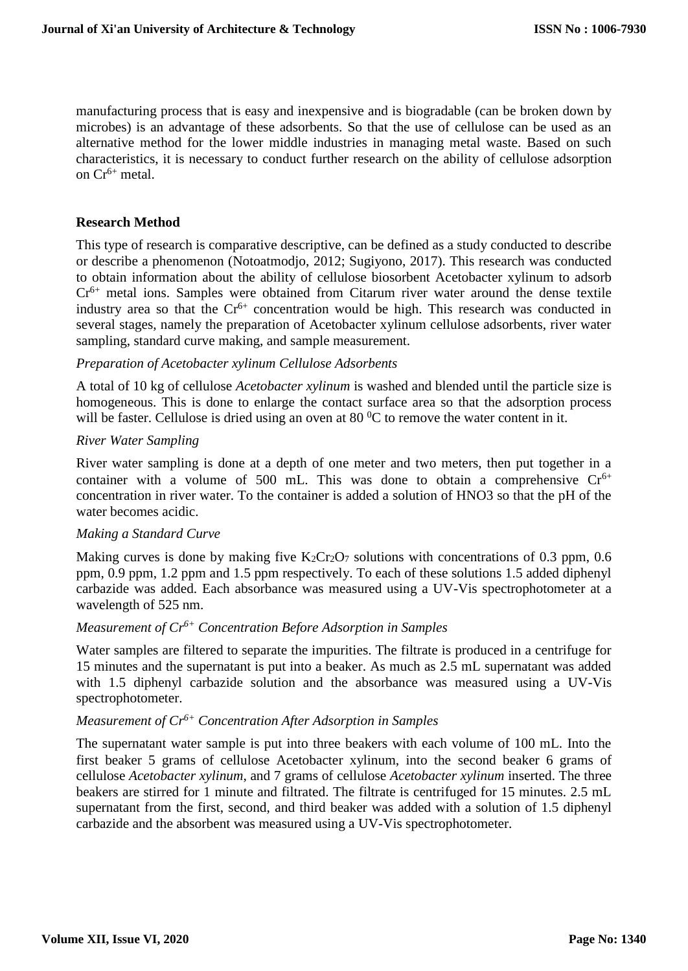manufacturing process that is easy and inexpensive and is biogradable (can be broken down by microbes) is an advantage of these adsorbents. So that the use of cellulose can be used as an alternative method for the lower middle industries in managing metal waste. Based on such characteristics, it is necessary to conduct further research on the ability of cellulose adsorption on  $Cr^{6+}$  metal.

#### **Research Method**

This type of research is comparative descriptive, can be defined as a study conducted to describe or describe a phenomenon (Notoatmodjo, 2012; Sugiyono, 2017). This research was conducted to obtain information about the ability of cellulose biosorbent Acetobacter xylinum to adsorb  $Cr<sup>6+</sup>$  metal ions. Samples were obtained from Citarum river water around the dense textile industry area so that the Cr<sup>6+</sup> concentration would be high. This research was conducted in several stages, namely the preparation of Acetobacter xylinum cellulose adsorbents, river water sampling, standard curve making, and sample measurement.

#### *Preparation of Acetobacter xylinum Cellulose Adsorbents*

A total of 10 kg of cellulose *Acetobacter xylinum* is washed and blended until the particle size is homogeneous. This is done to enlarge the contact surface area so that the adsorption process will be faster. Cellulose is dried using an oven at 80  $^{\circ}$ C to remove the water content in it.

#### *River Water Sampling*

River water sampling is done at a depth of one meter and two meters, then put together in a container with a volume of 500 mL. This was done to obtain a comprehensive  $Cr^{6+}$ concentration in river water. To the container is added a solution of HNO3 so that the pH of the water becomes acidic.

#### *Making a Standard Curve*

Making curves is done by making five  $K_2Cr_2O_7$  solutions with concentrations of 0.3 ppm, 0.6 ppm, 0.9 ppm, 1.2 ppm and 1.5 ppm respectively. To each of these solutions 1.5 added diphenyl carbazide was added. Each absorbance was measured using a UV-Vis spectrophotometer at a wavelength of 525 nm.

## *Measurement of Cr6+ Concentration Before Adsorption in Samples*

Water samples are filtered to separate the impurities. The filtrate is produced in a centrifuge for 15 minutes and the supernatant is put into a beaker. As much as 2.5 mL supernatant was added with 1.5 diphenyl carbazide solution and the absorbance was measured using a UV-Vis spectrophotometer.

#### *Measurement of Cr6+ Concentration After Adsorption in Samples*

The supernatant water sample is put into three beakers with each volume of 100 mL. Into the first beaker 5 grams of cellulose Acetobacter xylinum, into the second beaker 6 grams of cellulose *Acetobacter xylinum*, and 7 grams of cellulose *Acetobacter xylinum* inserted. The three beakers are stirred for 1 minute and filtrated. The filtrate is centrifuged for 15 minutes. 2.5 mL supernatant from the first, second, and third beaker was added with a solution of 1.5 diphenyl carbazide and the absorbent was measured using a UV-Vis spectrophotometer.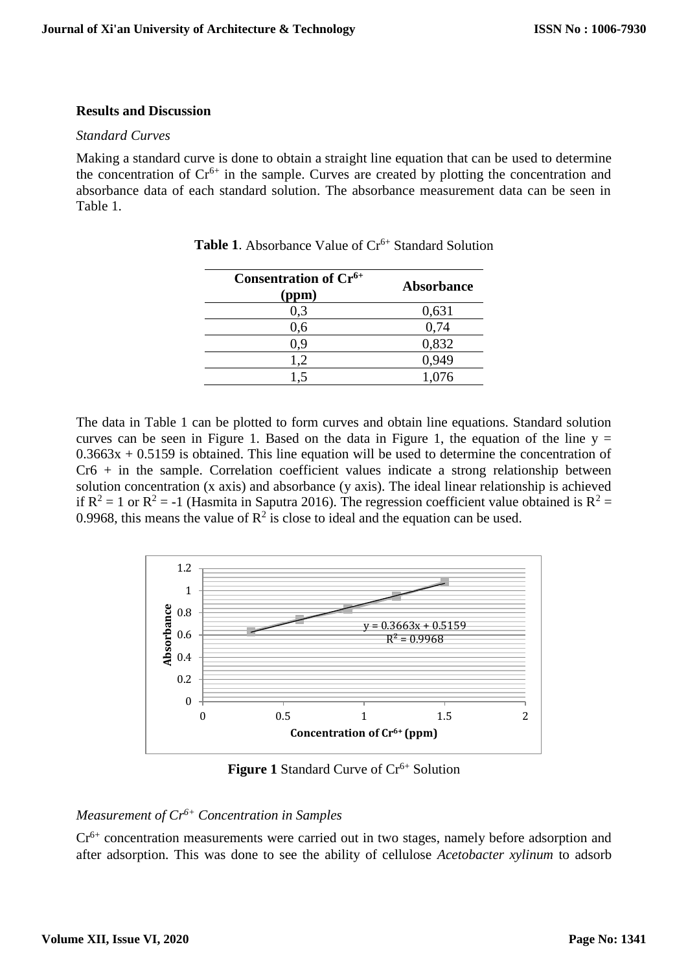#### **Results and Discussion**

#### *Standard Curves*

Making a standard curve is done to obtain a straight line equation that can be used to determine the concentration of  $Cr<sup>6+</sup>$  in the sample. Curves are created by plotting the concentration and absorbance data of each standard solution. The absorbance measurement data can be seen in Table 1.

| Consentration of Cr <sup>6+</sup><br>(ppm) | <b>Absorbance</b> |  |
|--------------------------------------------|-------------------|--|
| 0,3                                        | 0,631             |  |
| 0,6                                        | 0,74              |  |
| 0.9                                        | 0,832             |  |
| 1,2                                        | 0,949             |  |
| 1.5                                        | 1,076             |  |
|                                            |                   |  |

**Table 1.** Absorbance Value of Cr<sup>6+</sup> Standard Solution

The data in Table 1 can be plotted to form curves and obtain line equations. Standard solution curves can be seen in Figure 1. Based on the data in Figure 1, the equation of the line  $y =$  $0.3663x + 0.5159$  is obtained. This line equation will be used to determine the concentration of  $Cr6 + in$  the sample. Correlation coefficient values indicate a strong relationship between solution concentration (x axis) and absorbance (y axis). The ideal linear relationship is achieved if  $R^2 = 1$  or  $R^2 = -1$  (Hasmita in Saputra 2016). The regression coefficient value obtained is  $R^2 =$ 0.9968, this means the value of  $\mathbb{R}^2$  is close to ideal and the equation can be used.



**Figure 1 Standard Curve of Cr<sup>6+</sup> Solution** 

# *Measurement of Cr6+ Concentration in Samples*

Cr<sup>6+</sup> concentration measurements were carried out in two stages, namely before adsorption and after adsorption. This was done to see the ability of cellulose *Acetobacter xylinum* to adsorb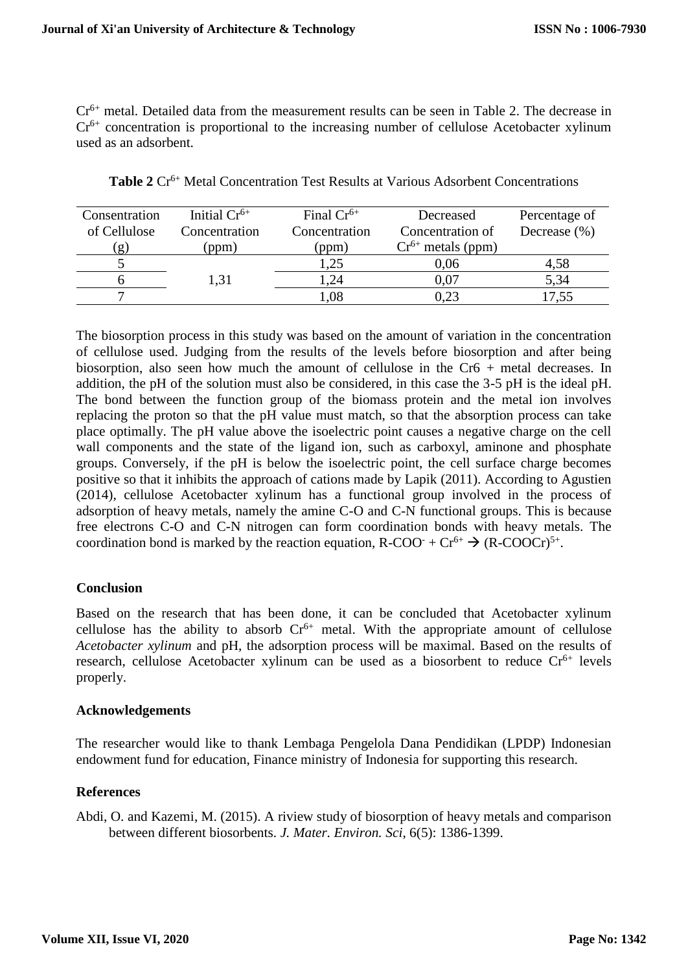Cr<sup>6+</sup> metal. Detailed data from the measurement results can be seen in Table 2. The decrease in  $Cr<sup>6+</sup>$  concentration is proportional to the increasing number of cellulose Acetobacter xylinum used as an adsorbent.

| Consentration | Initial $Cr^{6+}$ | Final $Cr^{6+}$ | Decreased              | Percentage of    |
|---------------|-------------------|-----------------|------------------------|------------------|
| of Cellulose  | Concentration     | Concentration   | Concentration of       | Decrease $(\% )$ |
| $\mathbf{g}$  | (ppm)             | (ppm)           | $Cr^{6+}$ metals (ppm) |                  |
|               |                   | .25             | 0.06                   | 4,58             |
|               | 1.31              | .24             | 0.07                   | 5,34             |
|               |                   | .08             | 0.23                   | 17.55            |

**Table 2** Cr6+ Metal Concentration Test Results at Various Adsorbent Concentrations

The biosorption process in this study was based on the amount of variation in the concentration of cellulose used. Judging from the results of the levels before biosorption and after being biosorption, also seen how much the amount of cellulose in the Cr6 + metal decreases. In addition, the pH of the solution must also be considered, in this case the 3-5 pH is the ideal pH. The bond between the function group of the biomass protein and the metal ion involves replacing the proton so that the pH value must match, so that the absorption process can take place optimally. The pH value above the isoelectric point causes a negative charge on the cell wall components and the state of the ligand ion, such as carboxyl, aminone and phosphate groups. Conversely, if the pH is below the isoelectric point, the cell surface charge becomes positive so that it inhibits the approach of cations made by Lapik (2011). According to Agustien (2014), cellulose Acetobacter xylinum has a functional group involved in the process of adsorption of heavy metals, namely the amine C-O and C-N functional groups. This is because free electrons C-O and C-N nitrogen can form coordination bonds with heavy metals. The coordination bond is marked by the reaction equation,  $R\text{-COO}^+ + Cr^{6+} \rightarrow (R\text{-COOCr})^{5+}$ .

#### **Conclusion**

Based on the research that has been done, it can be concluded that Acetobacter xylinum cellulose has the ability to absorb  $Cr<sup>6+</sup>$  metal. With the appropriate amount of cellulose *Acetobacter xylinum* and pH, the adsorption process will be maximal. Based on the results of research, cellulose Acetobacter xylinum can be used as a biosorbent to reduce  $Cr^{6+}$  levels properly.

#### **Acknowledgements**

The researcher would like to thank Lembaga Pengelola Dana Pendidikan (LPDP) Indonesian endowment fund for education, Finance ministry of Indonesia for supporting this research.

## **References**

Abdi, O. and Kazemi, M. (2015). A riview study of biosorption of heavy metals and comparison between different biosorbents. *J. Mater. Environ. Sci*, 6(5): 1386-1399.